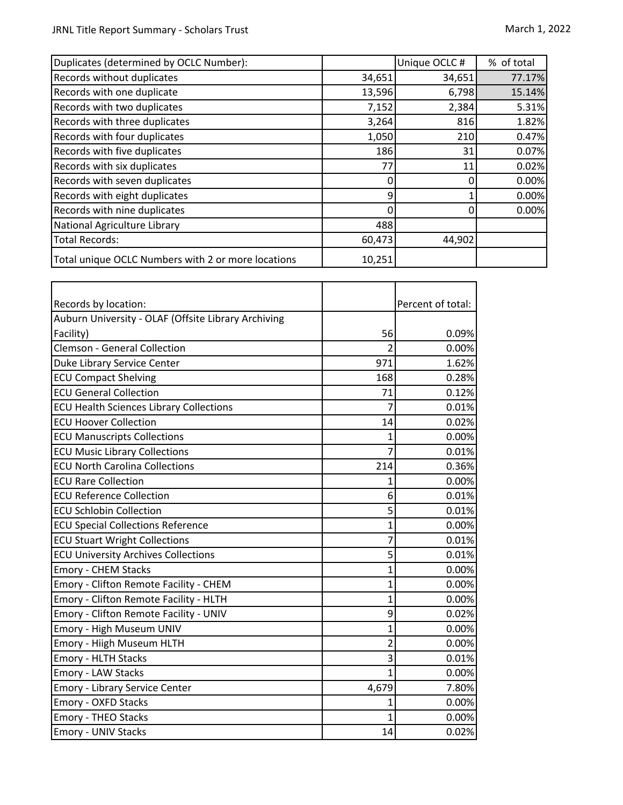| Duplicates (determined by OCLC Number):            |        | Unique OCLC# | % of total |
|----------------------------------------------------|--------|--------------|------------|
| Records without duplicates                         | 34,651 | 34,651       | 77.17%     |
| Records with one duplicate                         | 13,596 | 6,798        | 15.14%     |
| Records with two duplicates                        | 7,152  | 2,384        | 5.31%      |
| Records with three duplicates                      | 3,264  | 816          | 1.82%      |
| Records with four duplicates                       | 1,050  | 210          | 0.47%      |
| Records with five duplicates                       | 186    | 31           | 0.07%      |
| Records with six duplicates                        | 77     | 11           | 0.02%      |
| Records with seven duplicates                      |        |              | 0.00%      |
| Records with eight duplicates                      | ٩      |              | 0.00%      |
| Records with nine duplicates                       |        |              | 0.00%      |
| National Agriculture Library                       | 488    |              |            |
| Total Records:                                     | 60,473 | 44,902       |            |
| Total unique OCLC Numbers with 2 or more locations | 10,251 |              |            |

| Records by location:                                |              | Percent of total: |
|-----------------------------------------------------|--------------|-------------------|
| Auburn University - OLAF (Offsite Library Archiving |              |                   |
| Facility)                                           | 56           | 0.09%             |
| <b>Clemson - General Collection</b>                 | 2            | 0.00%             |
| Duke Library Service Center                         | 971          | 1.62%             |
| <b>ECU Compact Shelving</b>                         | 168          | 0.28%             |
| <b>ECU General Collection</b>                       | 71           | 0.12%             |
| <b>ECU Health Sciences Library Collections</b>      | 7            | 0.01%             |
| <b>ECU Hoover Collection</b>                        | 14           | 0.02%             |
| <b>ECU Manuscripts Collections</b>                  | 1            | 0.00%             |
| <b>ECU Music Library Collections</b>                | 7            | 0.01%             |
| <b>ECU North Carolina Collections</b>               | 214          | 0.36%             |
| <b>ECU Rare Collection</b>                          | $\mathbf{1}$ | 0.00%             |
| <b>ECU Reference Collection</b>                     | 6            | 0.01%             |
| <b>ECU Schlobin Collection</b>                      | 5            | 0.01%             |
| <b>ECU Special Collections Reference</b>            | 1            | 0.00%             |
| <b>ECU Stuart Wright Collections</b>                | 7            | 0.01%             |
| <b>ECU University Archives Collections</b>          | 5            | 0.01%             |
| <b>Emory - CHEM Stacks</b>                          | 1            | 0.00%             |
| Emory - Clifton Remote Facility - CHEM              | 1            | 0.00%             |
| Emory - Clifton Remote Facility - HLTH              | 1            | 0.00%             |
| Emory - Clifton Remote Facility - UNIV              | 9            | 0.02%             |
| Emory - High Museum UNIV                            | 1            | 0.00%             |
| Emory - Hiigh Museum HLTH                           | 2            | 0.00%             |
| <b>Emory - HLTH Stacks</b>                          | 3            | 0.01%             |
| Emory - LAW Stacks                                  | 1            | 0.00%             |
| <b>Emory - Library Service Center</b>               | 4,679        | 7.80%             |
| <b>Emory - OXFD Stacks</b>                          | 1            | 0.00%             |
| <b>Emory - THEO Stacks</b>                          | 1            | 0.00%             |
| <b>Emory - UNIV Stacks</b>                          | 14           | 0.02%             |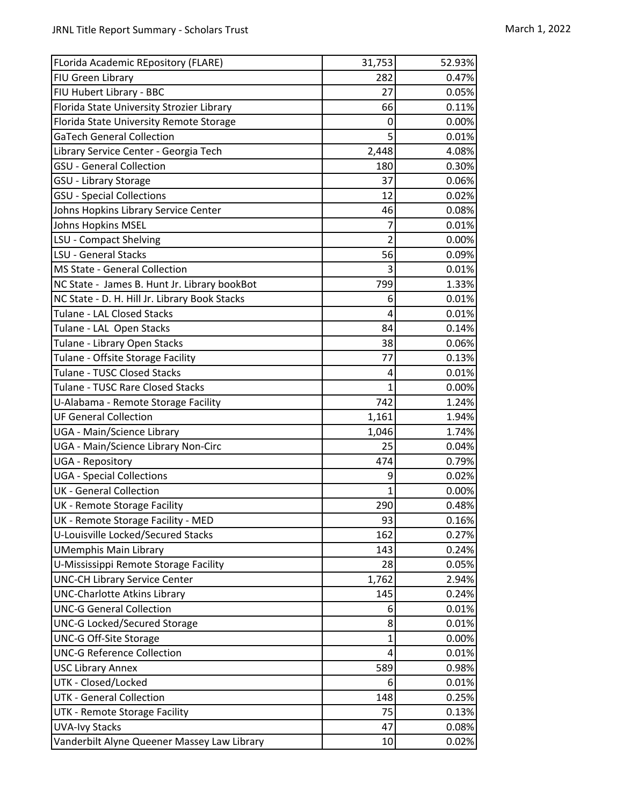| FLorida Academic REpository (FLARE)           | 31,753         | 52.93% |
|-----------------------------------------------|----------------|--------|
| FIU Green Library                             | 282            | 0.47%  |
| FIU Hubert Library - BBC                      | 27             | 0.05%  |
| Florida State University Strozier Library     | 66             | 0.11%  |
| Florida State University Remote Storage       | 0              | 0.00%  |
| <b>GaTech General Collection</b>              | 5              | 0.01%  |
| Library Service Center - Georgia Tech         | 2,448          | 4.08%  |
| <b>GSU - General Collection</b>               | 180            | 0.30%  |
| GSU - Library Storage                         | 37             | 0.06%  |
| <b>GSU - Special Collections</b>              | 12             | 0.02%  |
| Johns Hopkins Library Service Center          | 46             | 0.08%  |
| <b>Johns Hopkins MSEL</b>                     | 7              | 0.01%  |
| LSU - Compact Shelving                        | $\overline{2}$ | 0.00%  |
| LSU - General Stacks                          | 56             | 0.09%  |
| MS State - General Collection                 | 3              | 0.01%  |
| NC State - James B. Hunt Jr. Library bookBot  | 799            | 1.33%  |
| NC State - D. H. Hill Jr. Library Book Stacks | 6              | 0.01%  |
| Tulane - LAL Closed Stacks                    | 4              | 0.01%  |
| Tulane - LAL Open Stacks                      | 84             | 0.14%  |
| Tulane - Library Open Stacks                  | 38             | 0.06%  |
| Tulane - Offsite Storage Facility             | 77             | 0.13%  |
| Tulane - TUSC Closed Stacks                   | 4              | 0.01%  |
| Tulane - TUSC Rare Closed Stacks              | 1              | 0.00%  |
| U-Alabama - Remote Storage Facility           | 742            | 1.24%  |
| <b>UF General Collection</b>                  | 1,161          | 1.94%  |
| UGA - Main/Science Library                    | 1,046          | 1.74%  |
| UGA - Main/Science Library Non-Circ           | 25             | 0.04%  |
| <b>UGA - Repository</b>                       | 474            | 0.79%  |
| <b>UGA - Special Collections</b>              | 9              | 0.02%  |
| <b>UK - General Collection</b>                | 1              | 0.00%  |
| UK - Remote Storage Facility                  | 290            | 0.48%  |
| UK - Remote Storage Facility - MED            | 93             | 0.16%  |
| U-Louisville Locked/Secured Stacks            | 162            | 0.27%  |
| <b>UMemphis Main Library</b>                  | 143            | 0.24%  |
| U-Mississippi Remote Storage Facility         | 28             | 0.05%  |
| <b>UNC-CH Library Service Center</b>          | 1,762          | 2.94%  |
| <b>UNC-Charlotte Atkins Library</b>           | 145            | 0.24%  |
| <b>UNC-G General Collection</b>               | 6              | 0.01%  |
| <b>UNC-G Locked/Secured Storage</b>           | 8              | 0.01%  |
| UNC-G Off-Site Storage                        | 1              | 0.00%  |
| <b>UNC-G Reference Collection</b>             | 4              | 0.01%  |
| <b>USC Library Annex</b>                      | 589            | 0.98%  |
| UTK - Closed/Locked                           | 6              | 0.01%  |
| UTK - General Collection                      | 148            | 0.25%  |
| UTK - Remote Storage Facility                 | 75             | 0.13%  |
| <b>UVA-Ivy Stacks</b>                         | 47             | 0.08%  |
| Vanderbilt Alyne Queener Massey Law Library   | 10             | 0.02%  |